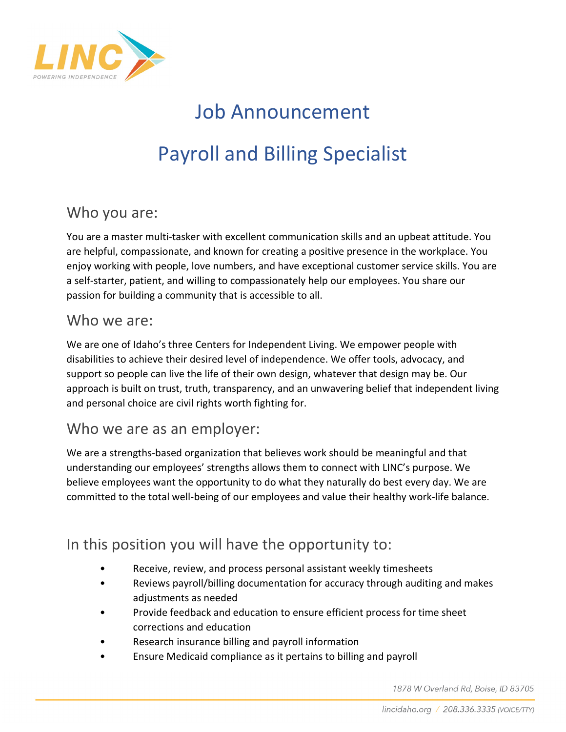

# Job Announcement Payroll and Billing Specialist

## Who you are:

You are a master multi-tasker with excellent communication skills and an upbeat attitude. You are helpful, compassionate, and known for creating a positive presence in the workplace. You enjoy working with people, love numbers, and have exceptional customer service skills. You are a self-starter, patient, and willing to compassionately help our employees. You share our passion for building a community that is accessible to all.

#### Who we are:

We are one of Idaho's three Centers for Independent Living. We empower people with disabilities to achieve their desired level of independence. We offer tools, advocacy, and support so people can live the life of their own design, whatever that design may be. Our approach is built on trust, truth, transparency, and an unwavering belief that independent living and personal choice are civil rights worth fighting for.

#### Who we are as an employer:

We are a strengths-based organization that believes work should be meaningful and that understanding our employees' strengths allows them to connect with LINC's purpose. We believe employees want the opportunity to do what they naturally do best every day. We are committed to the total well-being of our employees and value their healthy work-life balance.

# In this position you will have the opportunity to:

- Receive, review, and process personal assistant weekly timesheets
- Reviews payroll/billing documentation for accuracy through auditing and makes adjustments as needed
- Provide feedback and education to ensure efficient process for time sheet corrections and education
- Research insurance billing and payroll information
- Ensure Medicaid compliance as it pertains to billing and payroll

1878 W Overland Rd, Boise, ID 83705